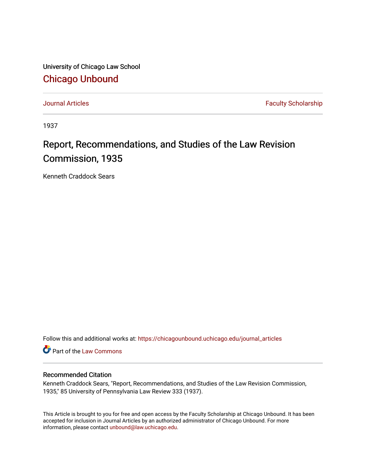University of Chicago Law School [Chicago Unbound](https://chicagounbound.uchicago.edu/)

[Journal Articles](https://chicagounbound.uchicago.edu/journal_articles) **Faculty Scholarship Journal Articles** 

1937

## Report, Recommendations, and Studies of the Law Revision Commission, 1935

Kenneth Craddock Sears

Follow this and additional works at: [https://chicagounbound.uchicago.edu/journal\\_articles](https://chicagounbound.uchicago.edu/journal_articles?utm_source=chicagounbound.uchicago.edu%2Fjournal_articles%2F9349&utm_medium=PDF&utm_campaign=PDFCoverPages) 

Part of the [Law Commons](http://network.bepress.com/hgg/discipline/578?utm_source=chicagounbound.uchicago.edu%2Fjournal_articles%2F9349&utm_medium=PDF&utm_campaign=PDFCoverPages)

## Recommended Citation

Kenneth Craddock Sears, "Report, Recommendations, and Studies of the Law Revision Commission, 1935," 85 University of Pennsylvania Law Review 333 (1937).

This Article is brought to you for free and open access by the Faculty Scholarship at Chicago Unbound. It has been accepted for inclusion in Journal Articles by an authorized administrator of Chicago Unbound. For more information, please contact [unbound@law.uchicago.edu](mailto:unbound@law.uchicago.edu).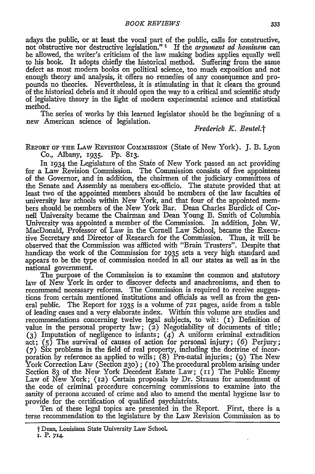adays the public, or at least the vocal part of the public, calls for constructive, not obstructive nor destructive legislation."<sup>1</sup> If the *argument ad hominem* can be allowed, the writer's criticism of the law making bodies applies equally well to his book. It adopts chiefly the historical method. Suffering from the same defect as most modem books on political science, too much exposition and not enough theory and analysis, it offers no remedies of any consequence and propounds no theories. Nevertheless, it is stimulating in that it clears the ground of the historical debris and it should open the way to a critical and scientific study of legislative theory in the light of modem experimental science and statistical method.

The series of works **by** this learned legislator should be the beginning of a new American science of legislation.

*Frederick K. Beutel.t*

REPORT OF **THE** LAW **REVISION** CoMmissIoN (State of New York). **J.** B. Lyon Co., Albany, 1935. **Pp.** 813.

In 1934 the Legislature of the Staie of New York passed an act providing for a Law Revision Commission. The Commission consists of five appointees of the Governor, and in addition, the chairmen of the judiciary committees of the Senate and Assembly as members ex-officio. The statute provided that at least two of the appointed members should be members of the law faculties of university law schools within New York, and that four of the appointed members should be members of the New York Bar. Dean Charles Burdick of Cornell University became the Chairman and Dean Young B. Smith of Columbia University was appointed a member of the Commission. In addition, John W. MacDonald, Professor of Law in the Cornell Law School, became the Executive Secretary and Director of Research for the Commission. Thus, it will be observed that the Commission was afflicted with "Brain Trusters". Despite that handicap the work of the Commission for 1935 sets a very high standard and appears to be the type of commission needed in all our states as well as in the national government.

The purpose of the Commission is to examine the common and statutory law of New York in order to discover defects and anachronisms, and then to recommend necessary reforms. The Commission is required to receive suggestions from certain mentioned institutions and officials as well as from the general public. The Report for 1935 is a volume of *721* pages, aside from a table of leading cases and a very elaborate index. Within this volume are studies and recommendations concerning twelve legal subjects, to wit: (i) Definition of value in the personal property law; (2) Negotiability of documents of title; **(3)** Imputation of negligence to infants; (4) A uniform criminal extradition act; (5) The survival of causes of action for personal injury; (6) Perjury; **(7)** Six problems in the field of real property, including the doctrine of incorporation by reference as applied to wills;  $(8)$  Pre-natal injuries; (9) The New York Correction Law (Section 230); (10) The procedural problem arising under Section 83 of the New York Decedent Estate Law; (11) The Public Enemy Law of New York; (12) Certain proposals by Dr. Strauss for amendment of the code of criminal procedure concerning commissions to examine into the sanity of persons accused of crime and also to amend the mental hygiene law to provide for the certification of qualified psychiatrists.

Ten of these legal topics are presented in the Report. First, there is a terse recommendation to the legislature **by** the Law Revision Commission as to

<sup>&</sup>quot; Dean, Louisiana State University Law SchooL